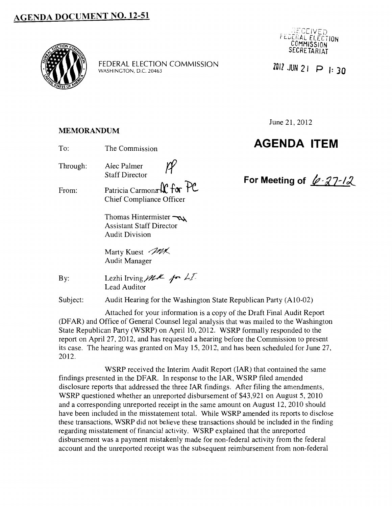## **AGENDA DOCUMENT NO. 12-51**



FEDERAL ELECTION COMMISSION WASHINGTON, D.C. 20463

YY.

#### **MEMORANDUM**

To: The Commission

Through: Alec Palmer Staff Director

From: Patricia Carmona<sup>n</sup> for PC Chief Compliance Officer

> Thomas Hintermister ~ Assistant Staff Director Audit Division

Marty Kuest MX Audit Manager

By:

Lezhi Irving *<i>MA* fr LT. Lead Auditor

Subject: Audit Hearing for the Washington State Republican Party (A10-02)

Attached for your information is a copy of the Draft Final Audit Report (DFAR) and Office of General Counsel legal analysis that was mailed to the Washington State Republican Party (WSRP) on April 10, 2012. WSRP formally responded to the report on April 27, 2012, and has requested a hearing before the Commission to present its case. The hearing was granted on May 15, 2012, and has been scheduled for June 27, 2012.

WSRP received the Interim Audit Report (IAR) that contained the same findings presented in the DFAR. In response to the IAR, WSRP filed amended disclosure reports that addressed the three IAR findings. After filing the amendments, WSRP questioned whether an unreported disbursement of \$43,921 on August 5, 2010 and a corresponding unreported receipt in the same amount on August 12, 2010 should have been included in the misstatement total. While WSRP amended its reports to disclose these transactions, WSRP did not believe these transactions should be included in the finding regarding misstatement of financial activity. WSRP explained that the unreported disbursement was a payment mistakenly made for non-federal activity from the federal account and the unreported receipt was the subsequent reimbursement from non-federal



**ZD 11 JUN 2 1 p I: ) O** 

June 21, 2012

## **AGENDA ITEM**

For Meeting of  $\ell$ -27-12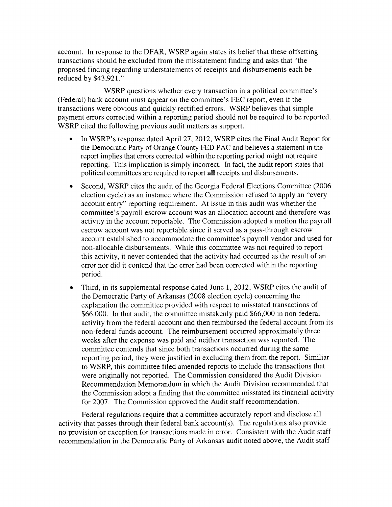account. In response to the DFAR, WSRP again states its belief that these offsetting transactions should be excluded from the misstatement finding and asks that "the proposed finding regarding understatements of receipts and disbursements each be reduced by \$43,921."

WSRP questions whether every transaction in a political committee's (Federal) bank account must appear on the committee's FEC report, even if the transactions were obvious and quickly rectified errors. WSRP believes that simple payment errors corrected within a reporting period should not be required to be reported. WSRP cited the following previous audit matters as support.

- In WSRP's response dated April 27, 2012, WSRP cites the Final Audit Report for the Democratic Party of Orange County FED PAC and believes a statement in the report implies that errors corrected within the reporting period might not require reporting. This implication is simply incorrect. In fact, the audit report states that political committees are required to report all receipts and disbursements.
- Second, WSRP cites the audit of the Georgia Federal Elections Committee (2006) election cycle) as an instance where the Commission refused to apply an "every account entry" reporting requirement. At issue in this audit was whether the committee's payroll escrow account was an allocation account and therefore was activity in the account reportable. The Commission adopted a motion the payroll escrow account was not reportable since it served as a pass-through escrow account established to accommodate the committee's payroll vendor and used for non-allocable disbursements. While this committee was not required to report this activity, it never contended that the activity had occurred as the result of an error nor did it contend that the error had been corrected within the reporting period.
- Third, in its supplemental response dated June 1, 2012, WSRP cites the audit of the Democratic Party of Arkansas (2008 election cycle) concerning the explanation the committee provided with respect to misstated transactions of \$66,000. In that audit, the committee mistakenly paid \$66,000 in non-federal activity from the federal account and then reimbursed the federal account from its non-federal funds account. The reimbursement occurred approximately three weeks after the expense was paid and neither transaction was reported. The committee contends that since both transactions occurred during the same reporting period, they were justified in excluding them from the report. Similiar to WSRP, this committee filed amended reports to include the transactions that were originally not reported. The Commission considered the Audit Division Recommendation Memorandum in which the Audit Division recommended that the Commission adopt a finding that the committee misstated its financial activity for 2007. The Commission approved the Audit staff recommendation.

Federal regulations require that a committee accurately report and disclose all activity that passes through their federal bank account(s). The regulations also provide no provision or exception for transactions made in error. Consistent with the Audit staff recommendation in the Democratic Party of Arkansas audit noted above, the Audit staff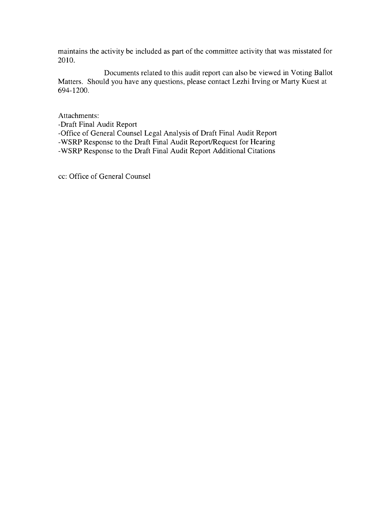maintains the activity be included as part of the committee activity that was misstated for 2010.

Documents related to this audit report can also be viewed in Voting Ballot Matters. Should you have any questions, please contact Lezhi Irving or Marty Kuest at 694-1200.

Attachments:

-Draft Final Audit Report -Office of General Counsel Legal Analysis of Draft Final Audit Report -WSRP Response to the Draft Final Audit Report/Request for Hearing -WSRP Response to the Draft Final Audit Report Additional Citations

cc: Office of General Counsel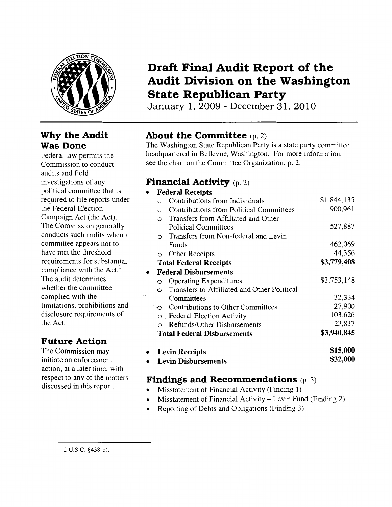

### **Why the Audit Was Done**

Federal law permits the Commission to conduct audits and field investigations of any political committee that is required to file reports under the Federal Election Campaign Act (the Act). The Commission generally conducts such audits when a committee appears not to have met the threshold requirements for substantial compliance with the  $Act.$ <sup>1</sup> The audit determines whether the committee complied with the limitations, prohibitions and disclosure requirements of the Act.

## **Future Action**

The Commission may initiate an enforcement action, at a later time, with respect to any of the matters discussed in this report.

## **Draft Final Audit Report of the Audit Division on the Washington State Republican Party**

January 1, 2009- December 31, 2010

## **About the Committee** (p. 2)

The Washington State Republican Party is a state party committee headquartered in Bellevue, Washington. For more information, see the chart on the Committee Organization, p. 2.

## **Financial Activity** (p. 2)

| ٠         |          | <b>Federal Receipts</b>                     |             |
|-----------|----------|---------------------------------------------|-------------|
|           | $\Omega$ | Contributions from Individuals              | \$1,844,135 |
|           | $\Omega$ | Contributions from Political Committees     | 900,961     |
|           | $\Omega$ | Transfers from Affiliated and Other         |             |
|           |          | <b>Political Committees</b>                 | 527,887     |
|           | $\Omega$ | Transfers from Non-federal and Levin        |             |
|           |          | Funds                                       | 462,069     |
|           | $\circ$  | Other Receipts                              | 44,356      |
|           |          | <b>Total Federal Receipts</b>               | \$3,779,408 |
| $\bullet$ |          | <b>Federal Disbursements</b>                |             |
|           |          | <b>Operating Expenditures</b>               | \$3,753,148 |
|           |          | Transfers to Affiliated and Other Political |             |
|           |          | Committees                                  | 32,334      |
|           | ۰O       | Contributions to Other Committees           | 27,900      |
|           |          | <b>o</b> Federal Election Activity          | 103,626     |
|           |          | <b>Refunds/Other Disbursements</b>          | 23,837      |
|           |          | <b>Total Federal Disbursements</b>          | \$3,940,845 |
|           |          | <b>Levin Receipts</b>                       | \$15,000    |
|           |          | <b>Levin Disbursements</b>                  | \$32,000    |

### **Findings and Recommendations** (p. 3)

- Misstatement of Financial Activity (Finding 1)
- Misstatement of Financial Activity- Levin Fund (Finding 2)
- Reporting of Debts and Obligations (Finding 3)

 $1$  2 U.S.C. §438(b).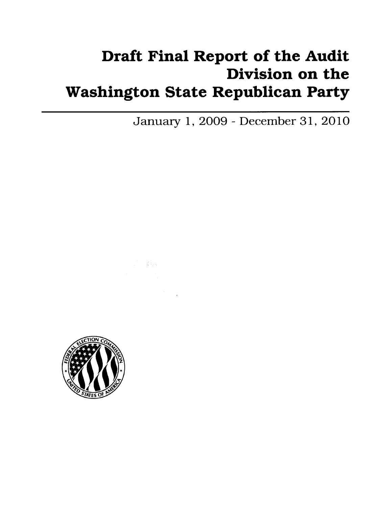# Draft Final Report of the Audit Division on the Washington State Republican Party

January 1, 2009- December 31, 2010



 $\mathcal{L}=\mathcal{L}^{\text{loc}}_{\text{sym}}$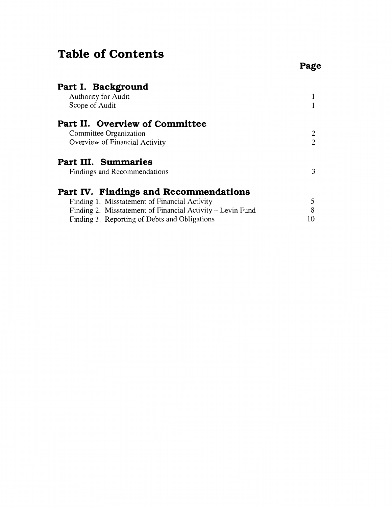## **Table of Contents**

| Part I. Background<br><b>Authority for Audit</b>           |                |
|------------------------------------------------------------|----------------|
| Scope of Audit                                             |                |
| Part II. Overview of Committee                             |                |
| Committee Organization                                     | 2              |
| Overview of Financial Activity                             | $\overline{2}$ |
| <b>Part III. Summaries</b>                                 |                |
| Findings and Recommendations                               | 3              |
| Part IV. Findings and Recommendations                      |                |
| Finding 1. Misstatement of Financial Activity              | 5              |
| Finding 2. Misstatement of Financial Activity – Levin Fund | 8              |
| Finding 3. Reporting of Debts and Obligations              | 10             |

## **Page**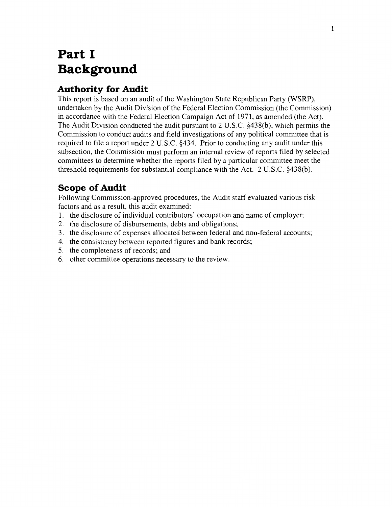## **Part I Background**

## **Authority for Audit**

This report is based on an audit of the Washington State Republican Party (WSRP), undertaken by the Audit Division of the Federal Election Commission (the Commission) in accordance with the Federal Election Campaign Act of 1971, as amended (the Act). The Audit Division conducted the audit pursuant to 2 U.S.C. §438(b), which permits the Commission to conduct audits and field investigations of any political committee that is required to file a report under 2 U.S.C. §434. Prior to conducting any audit under this subsection, the Commission must perform an internal review of reports filed by selected committees to determine whether the reports filed by a particular committee meet the threshold requirements for substantial compliance with the Act. 2 U.S.C. §438(b).

## **Scope of Audit**

Following Commission-approved procedures, the Audit staff evaluated various risk factors and as a result, this audit examined:

- 1. the disclosure of individual contributors' occupation and name of employer;
- 2. the disclosure of disbursements, debts and obligations;
- 3. the disclosure of expenses allocated between federal and non-federal accounts;
- 4. the consistency between reported figures and bank records;
- 5. the completeness of records; and
- 6. other committee operations necessary to the review.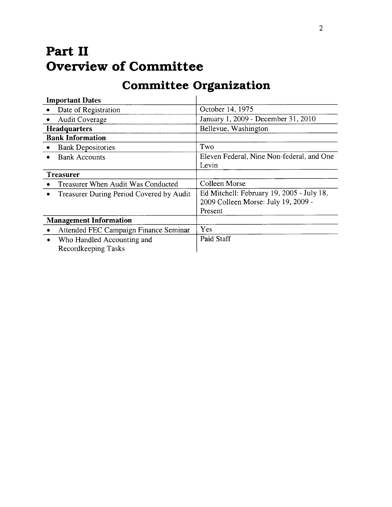## **Part II Overview of Committee**

## **Committee Organization**

| <b>Important Dates</b>                             |                                           |  |
|----------------------------------------------------|-------------------------------------------|--|
| Date of Registration                               | October 14, 1975                          |  |
| <b>Audit Coverage</b>                              | January 1, 2009 - December 31, 2010       |  |
| <b>Headquarters</b>                                | Bellevue, Washington                      |  |
| <b>Bank Information</b>                            |                                           |  |
| <b>Bank Depositories</b>                           | Two                                       |  |
| <b>Bank Accounts</b><br>$\bullet$                  | Eleven Federal, Nine Non-federal, and One |  |
|                                                    | Levin                                     |  |
| <b>Treasurer</b>                                   |                                           |  |
| Treasurer When Audit Was Conducted                 | Colleen Morse                             |  |
| Treasurer During Period Covered by Audit<br>٠      | Ed Mitchell: February 19, 2005 - July 18, |  |
|                                                    | 2009 Colleen Morse: July 19, 2009 -       |  |
|                                                    | Present                                   |  |
| <b>Management Information</b>                      |                                           |  |
| Attended FEC Campaign Finance Seminar<br>$\bullet$ | Yes                                       |  |
| Who Handled Accounting and<br>$\bullet$            | Paid Staff                                |  |
| Recordkeeping Tasks                                |                                           |  |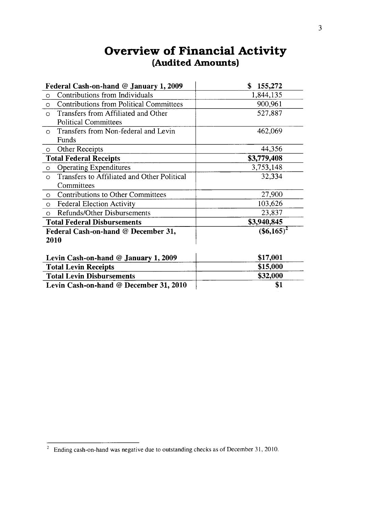| Federal Cash-on-hand @ January 1, 2009                    | \$<br>155,272             |  |  |
|-----------------------------------------------------------|---------------------------|--|--|
| Contributions from Individuals<br>$\Omega$                | 1,844,135                 |  |  |
| <b>Contributions from Political Committees</b><br>$\circ$ | 900,961                   |  |  |
| Transfers from Affiliated and Other<br>$\Omega$           | 527,887                   |  |  |
| <b>Political Committees</b>                               |                           |  |  |
| Transfers from Non-federal and Levin<br>$\Omega$          | 462,069                   |  |  |
| Funds                                                     |                           |  |  |
| Other Receipts<br>$\circ$                                 | 44,356                    |  |  |
| <b>Total Federal Receipts</b>                             | \$3,779,408               |  |  |
| <b>Operating Expenditures</b><br>$\Omega$                 | 3,753,148                 |  |  |
| Transfers to Affiliated and Other Political<br>$\Omega$   | 32,334                    |  |  |
| Committees                                                |                           |  |  |
| <b>Contributions to Other Committees</b><br>$\circ$       | 27,900                    |  |  |
| <b>Federal Election Activity</b><br>$\circ$               | 103,626                   |  |  |
| <b>Refunds/Other Disbursements</b><br>$\circ$             | 23,837                    |  |  |
| <b>Total Federal Disbursements</b>                        | \$3,940,845               |  |  |
| Federal Cash-on-hand @ December 31,                       | $($ \$6,165) <sup>2</sup> |  |  |
| 2010                                                      |                           |  |  |
|                                                           |                           |  |  |
| Levin Cash-on-hand @ January 1, 2009                      | \$17,001                  |  |  |
| <b>Total Levin Receipts</b>                               | \$15,000                  |  |  |
| <b>Total Levin Disbursements</b>                          | \$32,000                  |  |  |
| Levin Cash-on-hand @ December 31, 2010                    | \$1                       |  |  |

## **Overview of Financial Activity (Audited Amounts)**

 $\overline{a}$  Ending cash-on-hand was negative due to outstanding checks as of December 31, 2010.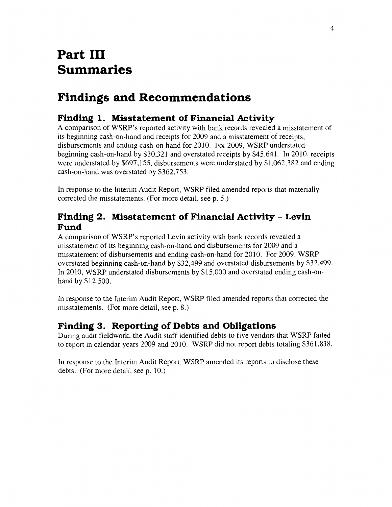## **Part III Summaries**

## **Findings and Recommendations**

### **Finding 1. Misstatement of Financial Activity**

A comparison of WSRP' s reported activity with bank records revealed a misstatement of its beginning cash-on-hand and receipts for 2009 and a misstatement of receipts, disbursements and ending cash-on-hand for 2010. For 2009, WSRP understated beginning cash-on-hand by \$30,321 and overstated receipts by \$45,641. In 2010, receipts were understated by \$697,155, disbursements were understated by \$1,062,382 and ending cash-on-hand was overstated by \$362,753.

In response to the Interim Audit Report, WSRP filed amended reports that materially corrected the misstatements. (For more detail, see p. 5.)

### **Finding 2. Misstatement of Financial Activity - Levin Fund**

A comparison of WSRP's reported Levin activity with bank records revealed a misstatement of its beginning cash-on-hand and disbursements for 2009 and a misstatement of disbursements and ending cash-on-hand for 2010. For 2009, WSRP overstated beginning cash-on-hand by \$32,499 and overstated disbursements by \$32,499. In 2010, WSRP understated disbursements by \$15,000 and overstated ending cash-anhand by \$12,500.

In response to the Interim Audit Report, WSRP filed amended reports that corrected the misstatements. (For more detail, see p. 8.)

### **Finding 3. Reporting of Debts and Obligations**

During audit fieldwork, the Audit staff identified debts to five vendors that WSRP failed to report in calendar years 2009 and 2010. WSRP did not report debts totaling \$361,838.

In response to the Interim Audit Report, WSRP amended its reports to disclose these debts. (For more detail, see p. 10.)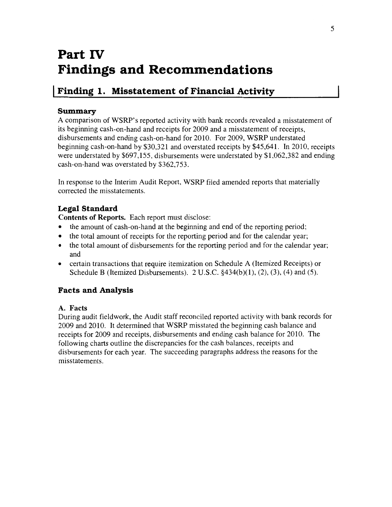## **Part IV Findings and Recommendations**

## **I Finding 1. Misstatement of Financial Activity**

#### **Summary**

A comparison of WSRP's reported activity with bank records revealed a misstatement of its beginning cash-on-hand and receipts for 2009 and a misstatement of receipts, disbursements and ending cash-on-hand for 2010. For 2009, WSRP understated beginning cash-on-hand by \$30,321 and overstated receipts by \$45,641. In 2010, receipts were understated by \$697,155, disbursements were understated by \$1,062,382 and ending cash-on-hand was overstated by \$362,753.

In response to the Interim Audit Report, WSRP filed amended reports that materially corrected the misstatements.

#### **Legal Standard**

**Contents of Reports.** Each report must disclose:

- the amount of cash-on-hand at the beginning and end of the reporting period;
- the total amount of receipts for the reporting period and for the calendar year;
- the total amount of disbursements for the reporting period and for the calendar year; and
- certain transactions that require itemization on Schedule A (Itemized Receipts) or Schedule B (Itemized Disbursements). 2 U.S.C.  $\S 434(b)(1)$ , (2), (3), (4) and (5).

#### **Facts and Analysis**

#### **A. Facts**

During audit fieldwork, the Audit staff reconciled reported activity with bank records for 2009 and 2010. It determined that WSRP misstated the beginning cash balance and receipts for 2009 and receipts, disbursements and ending cash balance for 2010. The following charts outline the discrepancies for the cash balances, receipts and disbursements for each year. The succeeding paragraphs address the reasons for the misstatements.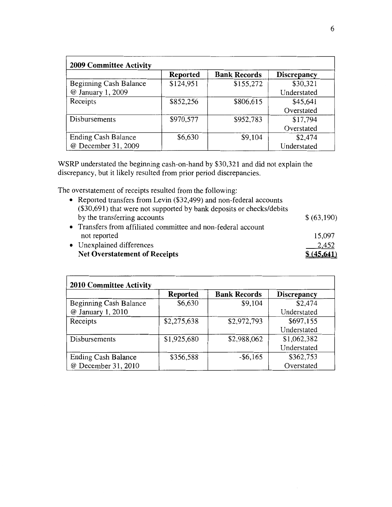| 2009 Committee Activity       |                 |                     |                    |  |
|-------------------------------|-----------------|---------------------|--------------------|--|
|                               | <b>Reported</b> | <b>Bank Records</b> | <b>Discrepancy</b> |  |
| <b>Beginning Cash Balance</b> | \$124,951       | \$155,272           | \$30,321           |  |
| @ January 1, 2009             |                 |                     | Understated        |  |
| Receipts                      | \$852,256       | \$806,615           | \$45,641           |  |
|                               |                 |                     | Overstated         |  |
| Disbursements                 | \$970,577       | \$952,783           | \$17,794           |  |
|                               |                 |                     | Overstated         |  |
| <b>Ending Cash Balance</b>    | \$6,630         | \$9,104             | \$2,474            |  |
| @ December 31, 2009           |                 |                     | Understated        |  |

WSRP understated the beginning cash-on-hand by \$30,321 and did not explain the discrepancy, but it likely resulted from prior period discrepancies.

The overstatement of receipts resulted from the following:

| • Reported transfers from Levin (\$32,499) and non-federal accounts |                                                                        |
|---------------------------------------------------------------------|------------------------------------------------------------------------|
| by the transferring accounts                                        | \$ (63,190)                                                            |
| • Transfers from affiliated committee and non-federal account       |                                                                        |
| not reported                                                        | 15,097                                                                 |
| • Unexplained differences                                           | 2,452                                                                  |
| <b>Net Overstatement of Receipts</b>                                | \$(45,641)                                                             |
|                                                                     | $(\$30,691)$ that were not supported by bank deposits or checks/debits |

| <b>2010 Committee Activity</b> |                 |                     |                    |  |
|--------------------------------|-----------------|---------------------|--------------------|--|
|                                | <b>Reported</b> | <b>Bank Records</b> | <b>Discrepancy</b> |  |
| Beginning Cash Balance         | \$6,630         | \$9,104             | \$2,474            |  |
| @ January 1, 2010              |                 |                     | Understated        |  |
| Receipts                       | \$2,275,638     | \$2,972,793         | \$697,155          |  |
|                                |                 |                     | Understated        |  |
| Disbursements                  | \$1,925,680     | \$2,988,062         | \$1,062,382        |  |
|                                |                 |                     | Understated        |  |
| <b>Ending Cash Balance</b>     | \$356,588       | $-$ \$6,165         | \$362,753          |  |
| @ December 31, 2010            |                 |                     | Overstated         |  |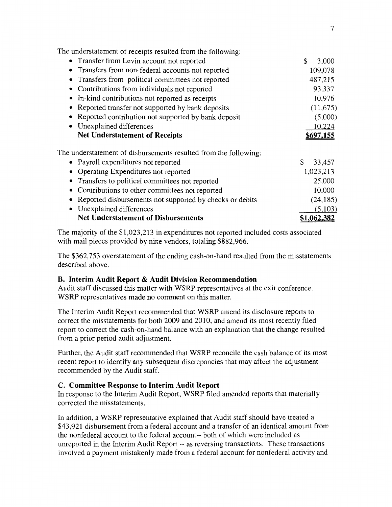The understatement of receipts resulted from the following:

| • Transfer from Levin account not reported                       | S.<br>3,000         |
|------------------------------------------------------------------|---------------------|
| • Transfers from non-federal accounts not reported               | 109,078             |
| • Transfers from political committees not reported               | 487,215             |
| • Contributions from individuals not reported                    | 93,337              |
| In-kind contributions not reported as receipts<br>$\bullet$      | 10,976              |
| Reported transfer not supported by bank deposits                 | (11,675)            |
| Reported contribution not supported by bank deposit              | (5,000)             |
| • Unexplained differences                                        | 10,224              |
| <b>Net Understatement of Receipts</b>                            | 697.155             |
| The understatement of disbursements resulted from the following: |                     |
| • Payroll expenditures not reported                              | \$<br>33,457        |
| • Operating Expenditures not reported                            | 1,023,213           |
| Transfers to political committees not reported                   | 25,000              |
| Contributions to other committees not reported                   | 10,000              |
| Reported disbursements not supported by checks or debits         | (24, 185)           |
| Unexplained differences                                          | (5,103)             |
| <b>Net Understatement of Disbursements</b>                       | \$1.0 <u>62,382</u> |

The majority of the \$1,023,213 in expenditures not reported included costs associated with mail pieces provided by nine vendors, totaling \$882,966.

The \$362,753 overstatement of the ending cash-on-hand resulted from the misstatements described above.

#### **B. Interim Audit Report & Audit Division Recommendation**

Audit staff discussed this matter with WSRP representatives at the exit conference. WSRP representatives made no comment on this matter.

The Interim Audit Report recommended that WSRP amend its disclosure reports to correct the misstatements for both 2009 and 2010, and amend its most recently filed report to correct the cash-on-hand balance with an explanation that the change resulted from a prior period audit adjustment.

Further, the Audit staff recommended that WSRP reconcile the cash balance of its most recent report to identify any subsequent discrepancies that may affect the adjustment recommended by the Audit staff.

#### **C. Committee Response to Interim Audit Report**

In response to the Interim Audit Report, WSRP filed amended reports that materially corrected the misstatements.

In addition, a WSRP representative explained that Audit staff should have treated a \$43,921 disbursement from a federal account and a transfer of an identical amount from the nonfederal account to the federal account-- both of which were included as umeported in the Interim Audit Report-- as reversing transactions. These transactions involved a payment mistakenly made from a federal account for nonfederal activity and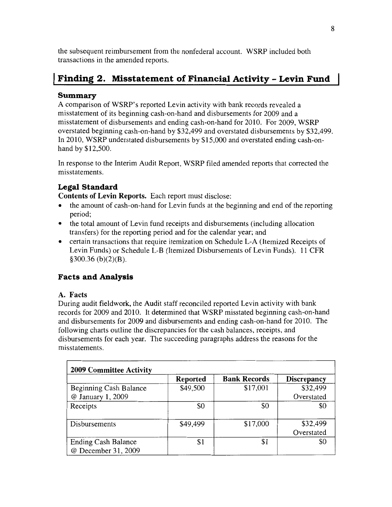the subsequent reimbursement from the nonfederal account. WSRP included both transactions in the amended reports.

## **I Finding 2. Misstatement of Financial Activity - Levin Fund**

#### **Summary**

A comparison of WSRP's reported Levin activity with bank records revealed a misstatement of its beginning cash-on-hand and disbursements for 2009 and a misstatement of disbursements and ending cash-on-hand for 2010. For 2009, WSRP overstated beginning cash-on-hand by \$32,499 and overstated disbursements by \$32,499. In 2010, WSRP understated disbursements by \$15,000 and overstated ending cash-onhand by \$12,500.

In response to the Interim Audit Report, WSRP filed amended reports that corrected the misstatements.

### **Legal Standard**

**Contents of Levin Reports.** Each report must disclose:

- the amount of cash-on-hand for Levin funds at the beginning and end of the reporting period;
- the total amount of Levin fund receipts and disbursements (including allocation transfers) for the reporting period and for the calendar year; and
- certain transactions that require itemization on Schedule L-A (Itemized Receipts of Levin Funds) or Schedule L-B (Itemized Disbursements of Levin Funds). 11 CFR §300.36 (b)(2)(B).

### **Facts and Analysis**

#### **A. Facts**

During audit fieldwork, the Audit staff reconciled reported Levin activity with bank records for 2009 and 2010. It determined that WSRP misstated beginning cash-on-hand and disbursements for 2009 and disbursements and ending cash-on-hand for 2010. The following charts outline the discrepancies for the cash balances, receipts, and disbursements for each year. The succeeding paragraphs address the reasons for the misstatements.

| <b>2009 Committee Activity</b>                    |                 |                     |                        |  |
|---------------------------------------------------|-----------------|---------------------|------------------------|--|
|                                                   | <b>Reported</b> | <b>Bank Records</b> | <b>Discrepancy</b>     |  |
| <b>Beginning Cash Balance</b>                     | \$49,500        | \$17,001            | \$32,499               |  |
| @ January 1, 2009                                 |                 |                     | Overstated             |  |
| Receipts                                          | \$0             | \$0                 | \$0                    |  |
| Disbursements                                     | \$49,499        | \$17,000            | \$32,499<br>Overstated |  |
| <b>Ending Cash Balance</b><br>@ December 31, 2009 | \$1             | \$1                 |                        |  |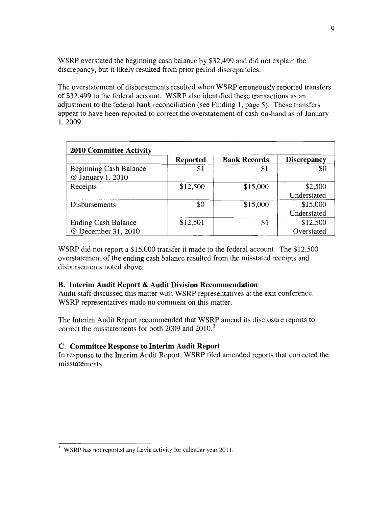WSRP overstated the beginning cash balance by \$32,499 and did not explain the discrepancy, but it likely resulted from prior period discrepancies.

The overstatement of disbursements resulted when WSRP erroneously reported transfers of \$32,499 to the federal account. WSRP also identified these transactions as an adjustment to the federal bank reconciliation (see Finding **1,** page 5). These transfers appear to have been reported to correct the overstatement of cash-on-hand as of January 1, 2009.

| <b>2010 Committee Activity</b> |                 |                     |                    |  |
|--------------------------------|-----------------|---------------------|--------------------|--|
|                                | <b>Reported</b> | <b>Bank Records</b> | <b>Discrepancy</b> |  |
| Beginning Cash Balance         | \$1             | \$1                 |                    |  |
| @ January 1, 2010              |                 |                     |                    |  |
| Receipts                       | \$12,500        | \$15,000            | \$2,500            |  |
|                                |                 |                     | Understated        |  |
| Disbursements                  | \$0             | \$15,000            | \$15,000           |  |
|                                |                 |                     | Understated        |  |
| <b>Ending Cash Balance</b>     | \$12,501        | \$1                 | \$12,500           |  |
| @ December 31, 2010            |                 |                     | Overstated         |  |

WSRP did not report a \$15,000 transfer it made to the federal account. The \$12,500 overstatement of the ending cash balance resulted from the misstated receipts and disbursements noted above.

#### **B. Interim Audit Report & Audit Division Recommendation**

Audit staff discussed this matter with WSRP representatives at the exit conference. WSRP representatives made no comment on this matter.

The Interim Audit Report recommended that WSRP amend its disclosure reports to correct the misstatements for both 2009 and 2010.<sup>3</sup>

#### **C. Committee Response to Interim Audit Report**

In response to the Interim Audit Report, WSRP filed amended reports that corrected the misstatements.

<sup>&</sup>lt;sup>3</sup> WSRP has not reported any Levin activity for calendar year 2011.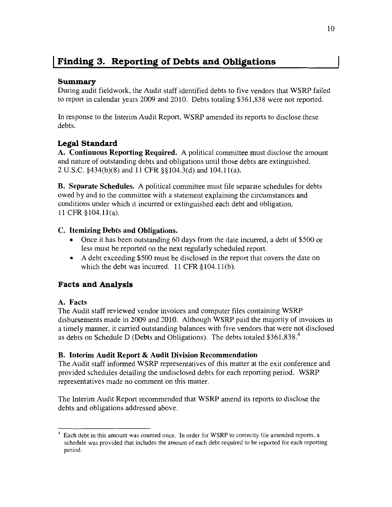## **I Finding 3. Reporting of Debts and Obligations**

#### **Summary**

During audit fieldwork, the Audit staff identified debts to five vendors that WSRP failed to report in calendar years 2009 and 2010. Debts totaling \$361,838 were not reported.

In response to the Interim Audit Report, WSRP amended its reports to disclose these debts.

### **Legal Standard**

**A. Continuous Reporting Required.** A political committee must disclose the amount and nature of outstanding debts and obligations until those debts are extinguished. 2 U.S.C. §434(b)(8) and **11** CFR §§104.3(d) and 104.1l(a).

**B. Separate Schedules.** A political committee must file separate schedules for debts owed by and to the committee with a statement explaining the circumstances and conditions under which it incurred or extinguished each debt and obligation. 11 CFR § 104.11(a).

#### **C. Itemizing Debts and Obligations.**

- Once it has been outstanding 60 days from the date incurred, a debt of \$500 or less must be reported on the next regularly scheduled report.
- A debt exceeding \$500 must be disclosed in the report that covers the date on which the debt was incurred.  $11$  CFR § 104.11(b).

#### **Facts and Analysis**

#### **A. Facts**

The Audit staff reviewed vendor invoices and computer files containing WSRP disbursements made in 2009 and 2010. Although WSRP paid the majority of invoices in a timely manner, it carried outstanding balances with five vendors that were not disclosed as debts on Schedule D (Debts and Obligations). The debts totaled \$361,838.<sup>4</sup>

#### **B. Interim Audit Report & Audit Division Recommendation**

The Audit staff informed WSRP representatives of this matter at the exit conference and provided schedules detailing the undisclosed debts for each reporting period. WSRP representatives made no comment on this matter.

The Interim Audit Report recommended that WSRP amend its reports to disclose the debts and obligations addressed above.

<sup>&</sup>lt;sup>4</sup> Each debt in this amount was counted once. In order for WSRP to correctly file amended reports, a schedule was provided that includes the amount of each debt required to be reported for each reporting period.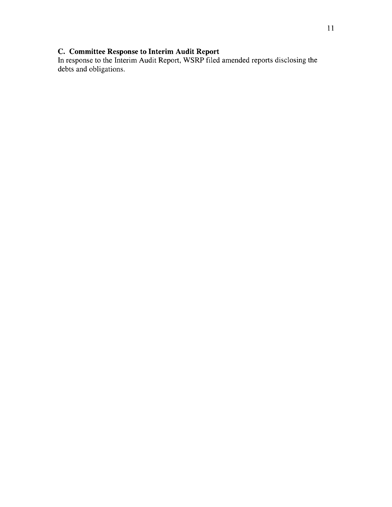#### **C. Committee Response to Interim Audit Report**

In response to the Interim Audit Report, WSRP filed amended reports disclosing the debts and obligations.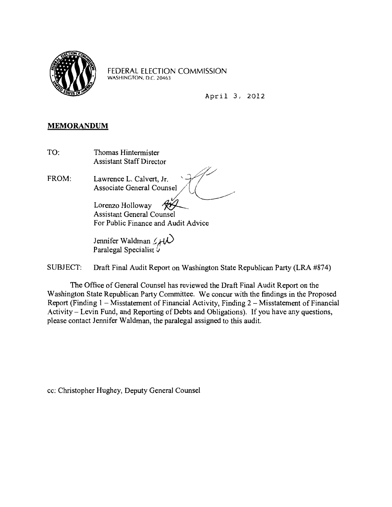

FEDERAL ELECTION COMMISSION WASHINGTON, D.C. 20463

April 3, 2012

#### **MEMORANDUM**

TO: Thomas Hintermister Assistant Staff Director

FROM: Lawrence L. Calvert, Jr. Associate General Counsel

> Lorenzo Holloway Assistant General Counsel For Public Finance and Audit Advice

Jennifer Waldman  $\mathscr{L}$  two Paralegal Specialist  $\overline{U}$ 

SUBJECT: Draft Final Audit Report on Washington State Republican Party (LRA #874)

The Office of General Counsel has reviewed the Draft Final Audit Report on the Washington State Republican Party Committee. We concur with the findings in the Proposed Report (Finding  $1 - M$ isstatement of Financial Activity, Finding  $2 - M$ isstatement of Financial Activity- Levin Fund, and Reporting of Debts and Obligations). If you have any questions, please contact Jennifer Waldman, the paralegal assigned to this audit.

cc: Christopher Hughey, Deputy General Counsel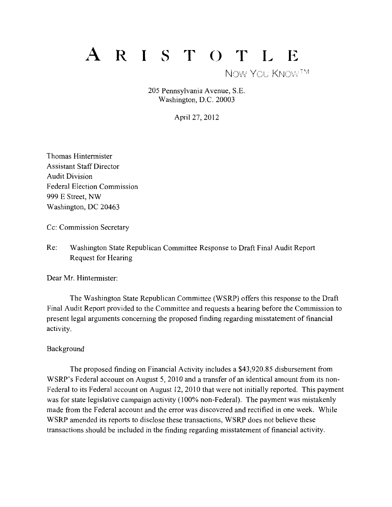# A R I S T O T L E

NOW YOU KNOWTM

205 Pennsylvania Avenue, S.E. Washington, D.C. 20003

April27, 2012

Thomas Hintermister Assistant Staff Director Audit Division Federal Election Commission 999 E Street, NW Washington, DC 20463

Cc: Commission Secretary

Re: Washington State Republican Committee Response to Draft Final Audit Report Request for Hearing

Dear Mr. Hintermister:

The Washington State Republican Committee (WSRP) offers this response to the Draft Final Audit Report provided to the Committee and requests a hearing before the Commission to present legal arguments concerning the proposed finding regarding misstatement of financial activity.

#### Background

The proposed finding on Financial Activity includes a \$43,920.85 disbursement from WSRP's Federal account on August 5, 2010 and a transfer of an identical amount from its non-Federal to its Federal account on August 12, 2010 that were not initially reported. This payment was for state legislative campaign activity (100% non-Federal). The payment was mistakenly made from the Federal account and the error was discovered and rectified in one week. While WSRP amended its reports to disclose these transactions, WSRP does not believe these transactions should be included in the finding regarding misstatement of financial activity.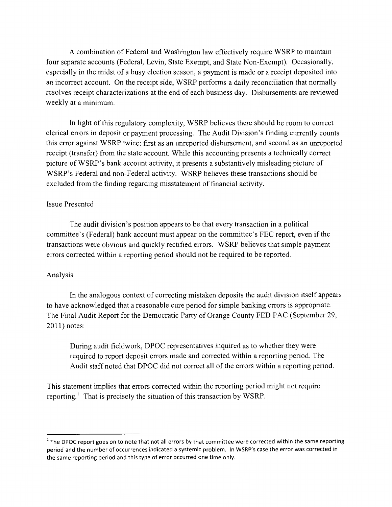A combination of Federal and Washington law effectively require WSRP to maintain four separate accounts (Federal, Levin, State Exempt, and State Non-Exempt). Occasionally, especially in the midst of a busy election season, a payment is made or a receipt deposited into an incorrect account. On the receipt side, WSRP performs a daily reconciliation that normally resolves receipt characterizations at the end of each business day. Disbursements are reviewed weekly at a minimum.

In light of this regulatory complexity, WSRP believes there should be room to correct clerical errors in deposit or payment processing. The Audit Division's finding currently counts this error against WSRP twice: first as an unreported disbursement, and second as an unreported receipt (transfer) from the state account. While this accounting presents a technically correct picture ofWSRP's bank account activity, it presents a substantively misleading picture of WSRP's Federal and non-Federal activity. WSRP believes these transactions should be excluded from the finding regarding misstatement of financial activity.

#### Issue Presented

The audit division's position appears to be that every transaction in a political committee's (Federal) bank account must appear on the committee's FEC report, even if the transactions were obvious and quickly rectified errors. WSRP believes that simple payment errors corrected within a reporting period should not be required to be reported.

#### Analysis

In the analogous context of correcting mistaken deposits the audit division itself appears to have acknowledged that a reasonable cure period for simple banking errors is appropriate. The Final Audit Report for the Democratic Party of Orange County FED PAC (September 29, 2011) notes:

During audit fieldwork, DPOC representatives inquired as to whether they were required to report deposit errors made and corrected within a reporting period. The Audit staff noted that DPOC did not correct all of the errors within a reporting period.

This statement implies that errors corrected within the reporting period might not require reporting.<sup>1</sup> That is precisely the situation of this transaction by WSRP.

 $1$  The DPOC report goes on to note that not all errors by that committee were corrected within the same reporting period and the number of occurrences indicated a systemic problem. In WSRP's case the error was corrected in the same reporting period and this type of error occurred one time only.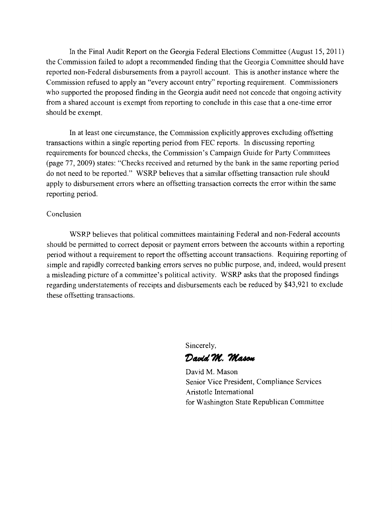In the Final Audit Report on the Georgia Federal Elections Committee (August 15, 2011) the Commission failed to adopt a recommended finding that the Georgia Committee should have reported non-Federal disbursements from a payroll account. This is another instance where the Commission refused to apply an "every account entry" reporting requirement. Commissioners who supported the proposed finding in the Georgia audit need not concede that ongoing activity from a shared account is exempt from reporting to conclude in this case that a one-time error should be exempt.

In at least one circumstance, the Commission explicitly approves excluding offsetting transactions within a single reporting period from FEC reports. In discussing reporting requirements for bounced checks, the Commission's Campaign Guide for Party Committees (page 77, 2009) states: "Checks received and returned by the bank in the same reporting period do not need to be reported." WSRP believes that a similar offsetting transaction rule should apply to disbursement errors where an offsetting transaction corrects the error within the same reporting period.

#### Conclusion

WSRP believes that political committees maintaining Federal and non-Federal accounts should be permitted to correct deposit or payment errors between the accounts within a reporting period without a requirement to report the offsetting account transactions. Requiring reporting of simple and rapidly corrected banking errors serves no public purpose, and, indeed, would present a misleading picture of a committee's political activity. WSRP asks that the proposed findings regarding understatements of receipts and disbursements each be reduced by \$43,921 to exclude these offsetting transactions.

Sincerely,

David M. Mason

David M. Mason Senior Vice President, Compliance Services Aristotle International for Washington State Republican Committee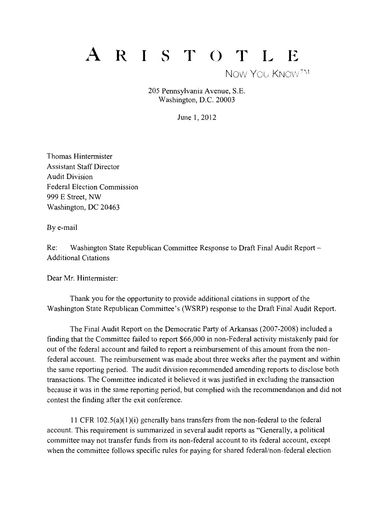# R IST OT L E

NOW YOU KNOW<sup>TM</sup>

205 Pennsylvania Avenue, S.E. Washington, D.C. 20003

June 1, 2012

Thomas Hintermister Assistant Staff Director Audit Division Federal Election Commission 999 E Street, NW Washington, DC 20463

By e-mail

Re: Washington State Republican Committee Response to Draft Final Audit Report – Additional Citations

Dear Mr. Hintermister:

Thank you for the opportunity to provide additional citations in support of the Washington State Republican Committee's (WSRP) response to the Draft Final Audit Report.

The Final Audit Report on the Democratic Party of Arkansas (2007-2008) included a finding that the Committee failed to report \$66,000 in non-Federal activity mistakenly paid for out of the federal account and failed to report a reimbursement of this amount from the nonfederal account. The reimbursement was made about three weeks after the payment and within the same reporting period. The audit division recommended amending reports to disclose both transactions. The Committee indicated it believed it was justified in excluding the transaction because it was in the same reporting period, but complied with the recommendation and did not contest the finding after the exit conference.

11 CFR 102.5(a)(1)(i) generally bans transfers from the non-federal to the federal account. This requirement is summarized in several audit reports as "Generally, a political committee may not transfer funds from its non-federal account to its federal account, except when the committee follows specific rules for paying for shared federal/non-federal election